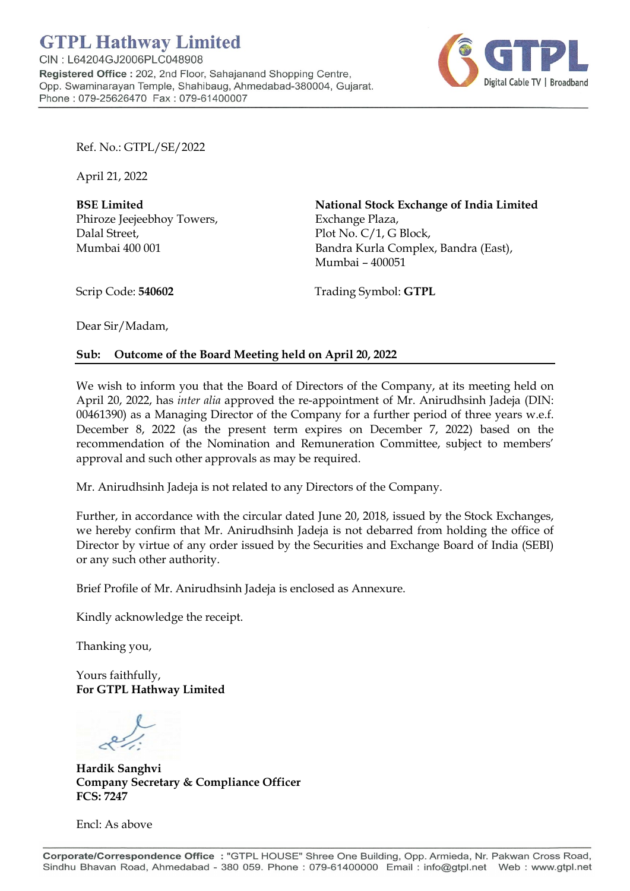

Ref. No.: GTPL/SE/2022

April 21, 2022

BSE Limited Phiroze Jeejeebhoy Towers, Dalal Street, Mumbai 400 001

National Stock Exchange of India Limited Exchange Plaza, Plot No. C/1, G Block, Bandra Kurla Complex, Bandra (East), Mumbai – 400051

Scrip Code: 540602

Trading Symbol: GTPL

Dear Sir/Madam,

## Sub: Outcome of the Board Meeting held on April 20, 2022

We wish to inform you that the Board of Directors of the Company, at its meeting held on April 20, 2022, has inter alia approved the re-appointment of Mr. Anirudhsinh Jadeja (DIN: 00461390) as a Managing Director of the Company for a further period of three years w.e.f. December 8, 2022 (as the present term expires on December 7, 2022) based on the recommendation of the Nomination and Remuneration Committee, subject to members' approval and such other approvals as may be required.

Mr. Anirudhsinh Jadeja is not related to any Directors of the Company.

Further, in accordance with the circular dated June 20, 2018, issued by the Stock Exchanges, we hereby confirm that Mr. Anirudhsinh Jadeja is not debarred from holding the office of Director by virtue of any order issued by the Securities and Exchange Board of India (SEBI) or any such other authority.

Brief Profile of Mr. Anirudhsinh Jadeja is enclosed as Annexure.

Kindly acknowledge the receipt.

Thanking you,

Yours faithfully, For GTPL Hathway Limited

Hardik Sanghvi Company Secretary & Compliance Officer FCS: 7247

Encl: As above